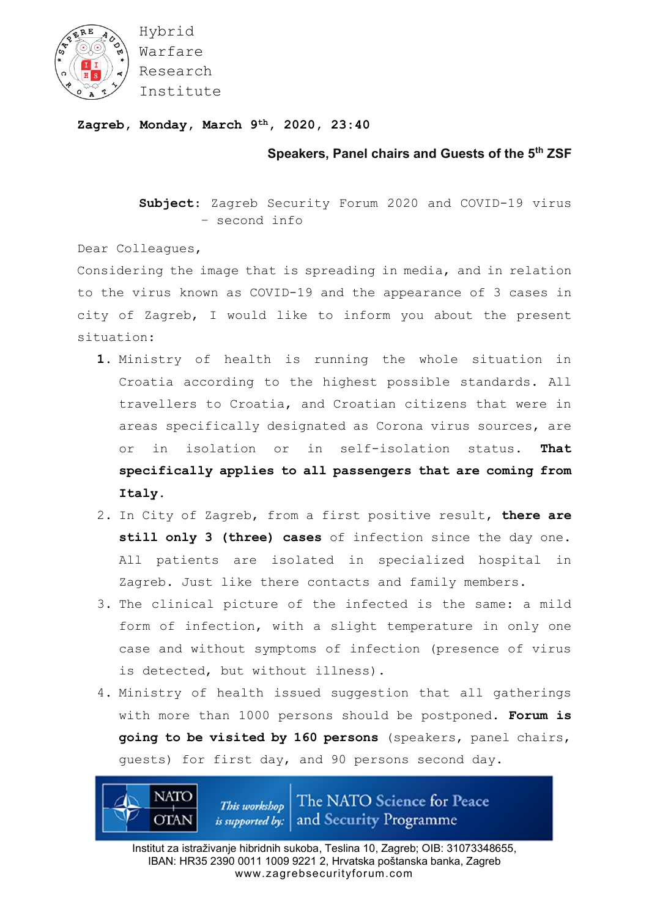

Hybrid Warfare Research Institute

## **Zagreb, Monday, March 9th, 2020, 23:40**

**Speakers, Panel chairs and Guests of the 5th ZSF**

**Subject**: Zagreb Security Forum 2020 and COVID-19 virus – second info

Dear Colleagues,

**NATO** 

**OTAN** 

Considering the image that is spreading in media, and in relation to the virus known as COVID-19 and the appearance of 3 cases in city of Zagreb, I would like to inform you about the present situation:

- **1.** Ministry of health is running the whole situation in Croatia according to the highest possible standards. All travellers to Croatia, and Croatian citizens that were in areas specifically designated as Corona virus sources, are or in isolation or in self-isolation status. **That specifically applies to all passengers that are coming from Italy.**
- 2. In City of Zagreb, from a first positive result, **there are still only 3 (three) cases** of infection since the day one. All patients are isolated in specialized hospital in Zagreb. Just like there contacts and family members.
- 3. The clinical picture of the infected is the same: a mild form of infection, with a slight temperature in only one case and without symptoms of infection (presence of virus is detected, but without illness).
- 4. Ministry of health issued suggestion that all gatherings with more than 1000 persons should be postponed. **Forum is going to be visited by 160 persons** (speakers, panel chairs, guests) for first day, and 90 persons second day.

The NATO Science for Peace This workshop *is supported by:* and Security Programme